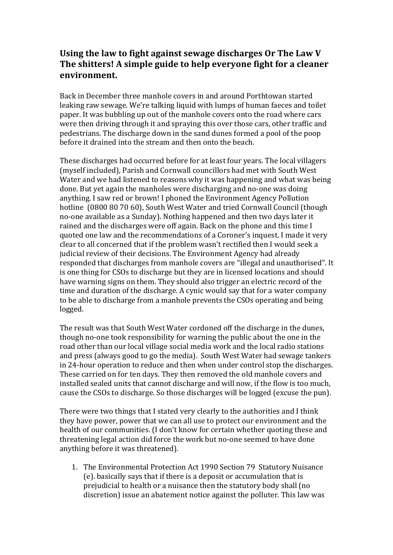## Using the law to fight against sewage discharges Or The Law V **The shitters! A simple guide to help everyone fight for a cleaner environment.**

Back in December three manhole covers in and around Porthtowan started leaking raw sewage. We're talking liquid with lumps of human faeces and toilet paper. It was bubbling up out of the manhole covers onto the road where cars were then driving through it and spraying this over those cars, other traffic and pedestrians. The discharge down in the sand dunes formed a pool of the poop before it drained into the stream and then onto the beach.

These discharges had occurred before for at least four years. The local villagers (myself included), Parish and Cornwall councillors had met with South West Water and we had listened to reasons why it was happening and what was being done. But yet again the manholes were discharging and no-one was doing anything. I saw red or brown! I phoned the Environment Agency Pollution hotline (0800 80 70 60), South West Water and tried Cornwall Council (though no-one available as a Sunday). Nothing happened and then two days later it rained and the discharges were off again. Back on the phone and this time I quoted one law and the recommendations of a Coroner's inquest. I made it very clear to all concerned that if the problem wasn't rectified then I would seek a judicial review of their decisions. The Environment Agency had already responded that discharges from manhole covers are "illegal and unauthorised". It is one thing for CSOs to discharge but they are in licensed locations and should have warning signs on them. They should also trigger an electric record of the time and duration of the discharge. A cynic would say that for a water company to be able to discharge from a manhole prevents the CSOs operating and being logged. 

The result was that South West Water cordoned off the discharge in the dunes, though no-one took responsibility for warning the public about the one in the road other than our local village social media work and the local radio stations and press (always good to go the media). South West Water had sewage tankers in 24-hour operation to reduce and then when under control stop the discharges. These carried on for ten days. They then removed the old manhole covers and installed sealed units that cannot discharge and will now, if the flow is too much, cause the CSOs to discharge. So those discharges will be logged (excuse the pun).

There were two things that I stated very clearly to the authorities and I think they have power, power that we can all use to protect our environment and the health of our communities. (I don't know for certain whether quoting these and threatening legal action did force the work but no-one seemed to have done anything before it was threatened).

1. The Environmental Protection Act 1990 Section 79 Statutory Nuisance (e). basically says that if there is a deposit or accumulation that is prejudicial to health or a nuisance then the statutory body shall (no discretion) issue an abatement notice against the polluter. This law was